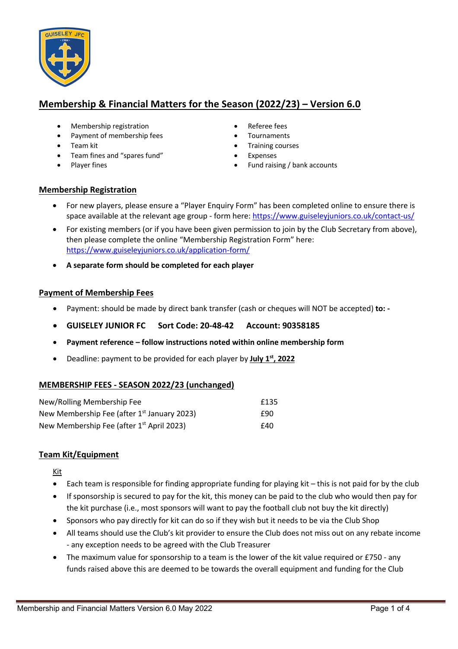

# **Membership & Financial Matters for the Season (2022/23) – Version 6.0**

- Membership registration **•** Referee fees
- Payment of membership fees Tournaments
- 
- Team fines and "spares fund" Expenses
- 
- 
- 
- Team kit Team kit Training courses
	-
- Player fines Fund raising / bank accounts

#### **Membership Registration**

- For new players, please ensure a "Player Enquiry Form" has been completed online to ensure there is space available at the relevant age group - form here: https://www.guiseleyjuniors.co.uk/contact-us/
- For existing members (or if you have been given permission to join by the Club Secretary from above), then please complete the online "Membership Registration Form" here: https://www.guiseleyjuniors.co.uk/application-form/
- **A separate form should be completed for each player**

## **Payment of Membership Fees**

- Payment: should be made by direct bank transfer (cash or cheques will NOT be accepted) **to: -**
- **GUISELEY JUNIOR FC Sort Code: 20-48-42 Account: 90358185**
- **Payment reference – follow instructions noted within online membership form**
- Deadline: payment to be provided for each player by **July 1st, 2022**

# **MEMBERSHIP FEES - SEASON 2022/23 (unchanged)**

| New/Rolling Membership Fee                            | £135 |
|-------------------------------------------------------|------|
| New Membership Fee (after $1st$ January 2023)         | £90  |
| New Membership Fee (after 1 <sup>st</sup> April 2023) | £40  |

#### **Team Kit/Equipment**

Kit

- Each team is responsible for finding appropriate funding for playing kit this is not paid for by the club
- If sponsorship is secured to pay for the kit, this money can be paid to the club who would then pay for the kit purchase (i.e., most sponsors will want to pay the football club not buy the kit directly)
- Sponsors who pay directly for kit can do so if they wish but it needs to be via the Club Shop
- All teams should use the Club's kit provider to ensure the Club does not miss out on any rebate income - any exception needs to be agreed with the Club Treasurer
- The maximum value for sponsorship to a team is the lower of the kit value required or £750 any funds raised above this are deemed to be towards the overall equipment and funding for the Club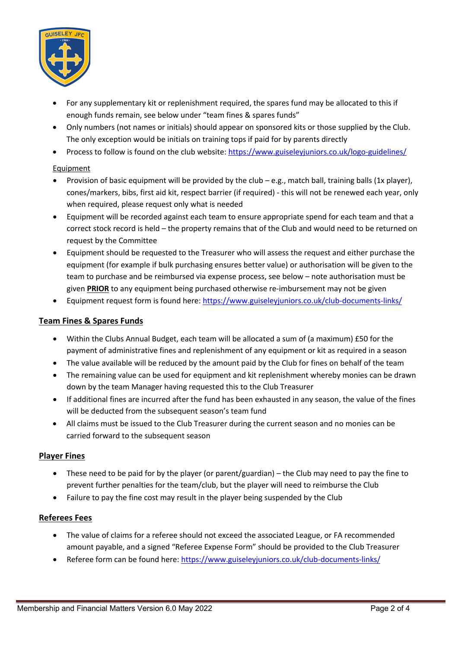

- For any supplementary kit or replenishment required, the spares fund may be allocated to this if enough funds remain, see below under "team fines & spares funds"
- Only numbers (not names or initials) should appear on sponsored kits or those supplied by the Club. The only exception would be initials on training tops if paid for by parents directly
- Process to follow is found on the club website: https://www.guiseleyjuniors.co.uk/logo-guidelines/

## Equipment

- Provision of basic equipment will be provided by the club e.g., match ball, training balls (1x player), cones/markers, bibs, first aid kit, respect barrier (if required) - this will not be renewed each year, only when required, please request only what is needed
- Equipment will be recorded against each team to ensure appropriate spend for each team and that a correct stock record is held – the property remains that of the Club and would need to be returned on request by the Committee
- Equipment should be requested to the Treasurer who will assess the request and either purchase the equipment (for example if bulk purchasing ensures better value) or authorisation will be given to the team to purchase and be reimbursed via expense process, see below – note authorisation must be given **PRIOR** to any equipment being purchased otherwise re-imbursement may not be given
- Equipment request form is found here: https://www.guiseleyjuniors.co.uk/club-documents-links/

# **Team Fines & Spares Funds**

- Within the Clubs Annual Budget, each team will be allocated a sum of (a maximum) £50 for the payment of administrative fines and replenishment of any equipment or kit as required in a season
- The value available will be reduced by the amount paid by the Club for fines on behalf of the team
- The remaining value can be used for equipment and kit replenishment whereby monies can be drawn down by the team Manager having requested this to the Club Treasurer
- If additional fines are incurred after the fund has been exhausted in any season, the value of the fines will be deducted from the subsequent season's team fund
- All claims must be issued to the Club Treasurer during the current season and no monies can be carried forward to the subsequent season

#### **Player Fines**

- These need to be paid for by the player (or parent/guardian) the Club may need to pay the fine to prevent further penalties for the team/club, but the player will need to reimburse the Club
- Failure to pay the fine cost may result in the player being suspended by the Club

#### **Referees Fees**

- The value of claims for a referee should not exceed the associated League, or FA recommended amount payable, and a signed "Referee Expense Form" should be provided to the Club Treasurer
- Referee form can be found here: https://www.guiseleyjuniors.co.uk/club-documents-links/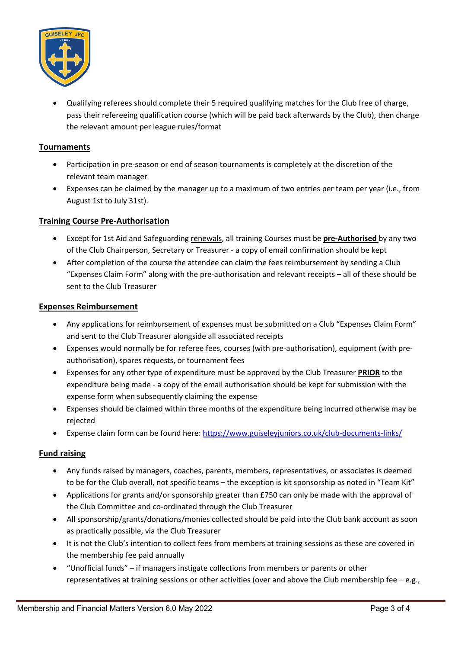

• Qualifying referees should complete their 5 required qualifying matches for the Club free of charge, pass their refereeing qualification course (which will be paid back afterwards by the Club), then charge the relevant amount per league rules/format

### **Tournaments**

- Participation in pre-season or end of season tournaments is completely at the discretion of the relevant team manager
- Expenses can be claimed by the manager up to a maximum of two entries per team per year (i.e., from August 1st to July 31st).

## **Training Course Pre-Authorisation**

- Except for 1st Aid and Safeguarding renewals, all training Courses must be **pre-Authorised** by any two of the Club Chairperson, Secretary or Treasurer - a copy of email confirmation should be kept
- After completion of the course the attendee can claim the fees reimbursement by sending a Club "Expenses Claim Form" along with the pre-authorisation and relevant receipts – all of these should be sent to the Club Treasurer

#### **Expenses Reimbursement**

- Any applications for reimbursement of expenses must be submitted on a Club "Expenses Claim Form" and sent to the Club Treasurer alongside all associated receipts
- Expenses would normally be for referee fees, courses (with pre-authorisation), equipment (with preauthorisation), spares requests, or tournament fees
- Expenses for any other type of expenditure must be approved by the Club Treasurer **PRIOR** to the expenditure being made - a copy of the email authorisation should be kept for submission with the expense form when subsequently claiming the expense
- Expenses should be claimed within three months of the expenditure being incurred otherwise may be rejected
- Expense claim form can be found here: https://www.guiseleyjuniors.co.uk/club-documents-links/

#### **Fund raising**

- Any funds raised by managers, coaches, parents, members, representatives, or associates is deemed to be for the Club overall, not specific teams – the exception is kit sponsorship as noted in "Team Kit"
- Applications for grants and/or sponsorship greater than £750 can only be made with the approval of the Club Committee and co-ordinated through the Club Treasurer
- All sponsorship/grants/donations/monies collected should be paid into the Club bank account as soon as practically possible, via the Club Treasurer
- It is not the Club's intention to collect fees from members at training sessions as these are covered in the membership fee paid annually
- "Unofficial funds" if managers instigate collections from members or parents or other representatives at training sessions or other activities (over and above the Club membership fee – e.g.,